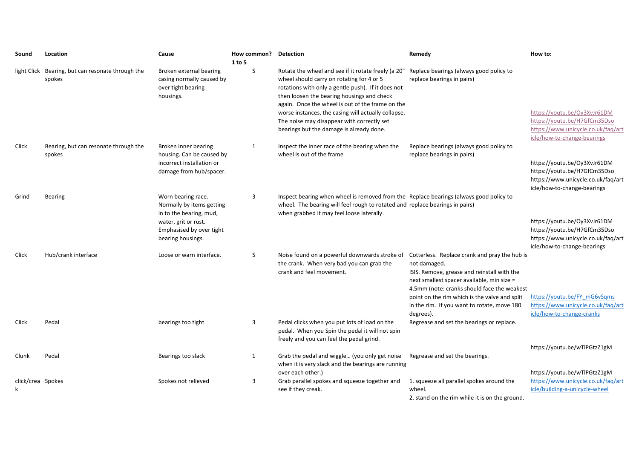| Sound                  | Location                                                    | Cause                                                                                                                          | How common? Detection<br>1 to 5 |                                                                                                                                                                                                                                                                                                                                                                                                           | Remedy                                                                                                                                                                                                                                                                                                                 | How to:                                                                                                                           |
|------------------------|-------------------------------------------------------------|--------------------------------------------------------------------------------------------------------------------------------|---------------------------------|-----------------------------------------------------------------------------------------------------------------------------------------------------------------------------------------------------------------------------------------------------------------------------------------------------------------------------------------------------------------------------------------------------------|------------------------------------------------------------------------------------------------------------------------------------------------------------------------------------------------------------------------------------------------------------------------------------------------------------------------|-----------------------------------------------------------------------------------------------------------------------------------|
|                        | light Click Bearing, but can resonate through the<br>spokes | Broken external bearing<br>casing normally caused by<br>over tight bearing<br>housings.                                        | 5                               | Rotate the wheel and see if it rotate freely (a 20"<br>wheel should carry on rotating for 4 or 5<br>rotations with only a gentle push). If it does not<br>then loosen the bearing housings and check<br>again. Once the wheel is out of the frame on the<br>worse instances, the casing will actually collapse.<br>The noise may disappear with correctly set<br>bearings but the damage is already done. | Replace bearings (always good policy to<br>replace bearings in pairs)                                                                                                                                                                                                                                                  | https://youtu.be/Oy3XvJr61DM<br>https://youtu.be/H7GfCm35Dso<br>https://www.unicycle.co.uk/faq/art<br>icle/how-to-change-bearings |
| Click                  | Bearing, but can resonate through the<br>spokes             | Broken inner bearing<br>housing. Can be caused by<br>incorrect installation or<br>damage from hub/spacer.                      | $\mathbf{1}$                    | Inspect the inner race of the bearing when the<br>wheel is out of the frame                                                                                                                                                                                                                                                                                                                               | Replace bearings (always good policy to<br>replace bearings in pairs)                                                                                                                                                                                                                                                  |                                                                                                                                   |
|                        |                                                             |                                                                                                                                |                                 |                                                                                                                                                                                                                                                                                                                                                                                                           |                                                                                                                                                                                                                                                                                                                        | https://youtu.be/Oy3XvJr61DM<br>https://youtu.be/H7GfCm35Dso<br>https://www.unicycle.co.uk/faq/art<br>icle/how-to-change-bearings |
| Grind                  | <b>Bearing</b>                                              | Worn bearing race.<br>Normally by items getting<br>in to the bearing, mud,<br>water, grit or rust.<br>Emphasised by over tight | 3                               | Inspect bearing when wheel is removed from the Replace bearings (always good policy to<br>wheel. The bearing will feel rough to rotated and replace bearings in pairs)<br>when grabbed it may feel loose laterally.                                                                                                                                                                                       |                                                                                                                                                                                                                                                                                                                        | https://youtu.be/Oy3XvJr61DM<br>https://youtu.be/H7GfCm35Dso                                                                      |
|                        |                                                             | bearing housings.                                                                                                              |                                 |                                                                                                                                                                                                                                                                                                                                                                                                           |                                                                                                                                                                                                                                                                                                                        | https://www.unicycle.co.uk/faq/art<br>icle/how-to-change-bearings                                                                 |
| Click                  | Hub/crank interface                                         | Loose or warn interface.                                                                                                       | 5                               | Noise found on a powerful downwards stroke of<br>the crank. When very bad you can grab the<br>crank and feel movement.                                                                                                                                                                                                                                                                                    | Cotterless. Replace crank and pray the hub is<br>not damaged.<br>ISIS. Remove, grease and reinstall with the<br>next smallest spacer available, min size =<br>4.5mm (note: cranks should face the weakest<br>point on the rim which is the valve and split<br>in the rim. If you want to rotate, move 180<br>degrees). | https://youtu.be/FY mG6vSqms<br>https://www.unicycle.co.uk/faq/art<br>icle/how-to-change-cranks                                   |
| Click                  | Pedal                                                       | bearings too tight                                                                                                             | 3                               | Pedal clicks when you put lots of load on the<br>pedal. When you Spin the pedal it will not spin<br>freely and you can feel the pedal grind.                                                                                                                                                                                                                                                              | Regrease and set the bearings or replace.                                                                                                                                                                                                                                                                              | https://youtu.be/wTlPGtzZ1gM                                                                                                      |
| Clunk                  | Pedal                                                       | Bearings too slack                                                                                                             | 1                               | Grab the pedal and wiggle (you only get noise<br>when it is very slack and the bearings are running                                                                                                                                                                                                                                                                                                       | Regrease and set the bearings.                                                                                                                                                                                                                                                                                         | https://youtu.be/wTlPGtzZ1gM                                                                                                      |
| click/crea Spokes<br>k |                                                             | Spokes not relieved                                                                                                            | 3                               | over each other.)<br>Grab parallel spokes and squeeze together and<br>see if they creak.                                                                                                                                                                                                                                                                                                                  | 1. squeeze all parallel spokes around the<br>wheel.<br>2. stand on the rim while it is on the ground.                                                                                                                                                                                                                  | https://www.unicycle.co.uk/faq/art<br>icle/building-a-unicycle-wheel                                                              |